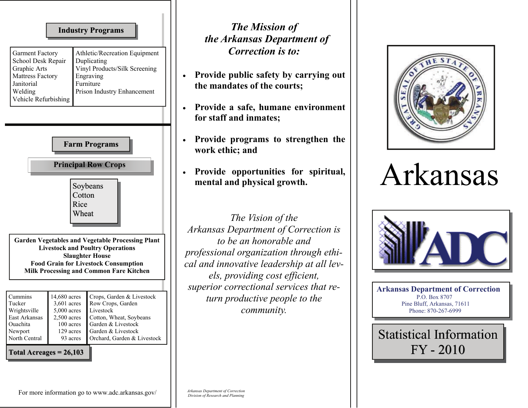| The M<br>the Arkansa                                                                              | <b>Industry Programs</b>                                                                                                                                                                                                      |                                                                                                                                                                                                   |
|---------------------------------------------------------------------------------------------------|-------------------------------------------------------------------------------------------------------------------------------------------------------------------------------------------------------------------------------|---------------------------------------------------------------------------------------------------------------------------------------------------------------------------------------------------|
| <b>Correc</b><br><b>Provide public</b><br>the mandates of<br>Provide a safe,<br>for staff and inn | Athletic/Recreation Equipment<br>Duplicating<br>Vinyl Products/Silk Screening<br>Engraving<br>Furniture<br>Prison Industry Enhancement                                                                                        | <b>Garment Factory</b><br>School Desk Repair<br>Graphic Arts<br><b>Mattress Factory</b><br>Janitorial<br>Welding<br>Vehicle Refurbishing                                                          |
| Provide progra<br>work ethic; and                                                                 | <b>Farm Programs</b>                                                                                                                                                                                                          |                                                                                                                                                                                                   |
| Provide opport<br>mental and phy<br>The Vis<br>Arkansas Departi                                   | <b>Principal Row Crops</b><br>Soybeans<br>Cotton                                                                                                                                                                              | Rice<br>Wheat                                                                                                                                                                                     |
| to be an h<br>professional organ<br>cal and innovative<br>els, providin<br>superior correction    | <b>Garden Vegetables and Vegetable Processing Plant</b><br><b>Livestock and Poultry Operations</b><br><b>Slaughter House</b><br><b>Food Grain for Livestock Consumption</b><br><b>Milk Processing and Common Fare Kitchen</b> |                                                                                                                                                                                                   |
| turn producti<br>com                                                                              | Crops, Garden & Livestock<br>Row Crops, Garden<br>Livestock<br>Cotton, Wheat, Soybeans<br>Garden & Livestock<br>Garden & Livestock<br>Orchard, Garden & Livestock                                                             | Cummins<br>14,680 acres<br>Tucker<br>3,601 acres<br>Wrightsville<br>$5,000$ acres<br>East Arkansas<br>$2,500$ acres<br>Ouachita<br>100 acres<br>Newport<br>129 acres<br>North Central<br>93 acres |
|                                                                                                   |                                                                                                                                                                                                                               | Total Acreages $= 26,103$                                                                                                                                                                         |

For more information go to www.adc.arkansas.gov/

## *Arkansas Department of Correction Division of Research and Planning*

*The Mission of the Arkansas Department of ction is to:* 

- safety by carrying out f the courts;
- humane environment **for the standary**
- **erms** to strengthen the **work ethic; and**
- **Provide opportunities for spiritual, missical growth.**

*Sion of the Arkansas <i>nent of Correction is conorable and professional organization through ethileadership at all levels, providing cost efficient, coral services that retive people to the community.* 



## Arkansas



**Arkansas Department of Correction**  P.O. Box 8707 Pine Bluff, Arkansas, 71611 Phone: 870-267-6999

Statistical Information FY - 2010